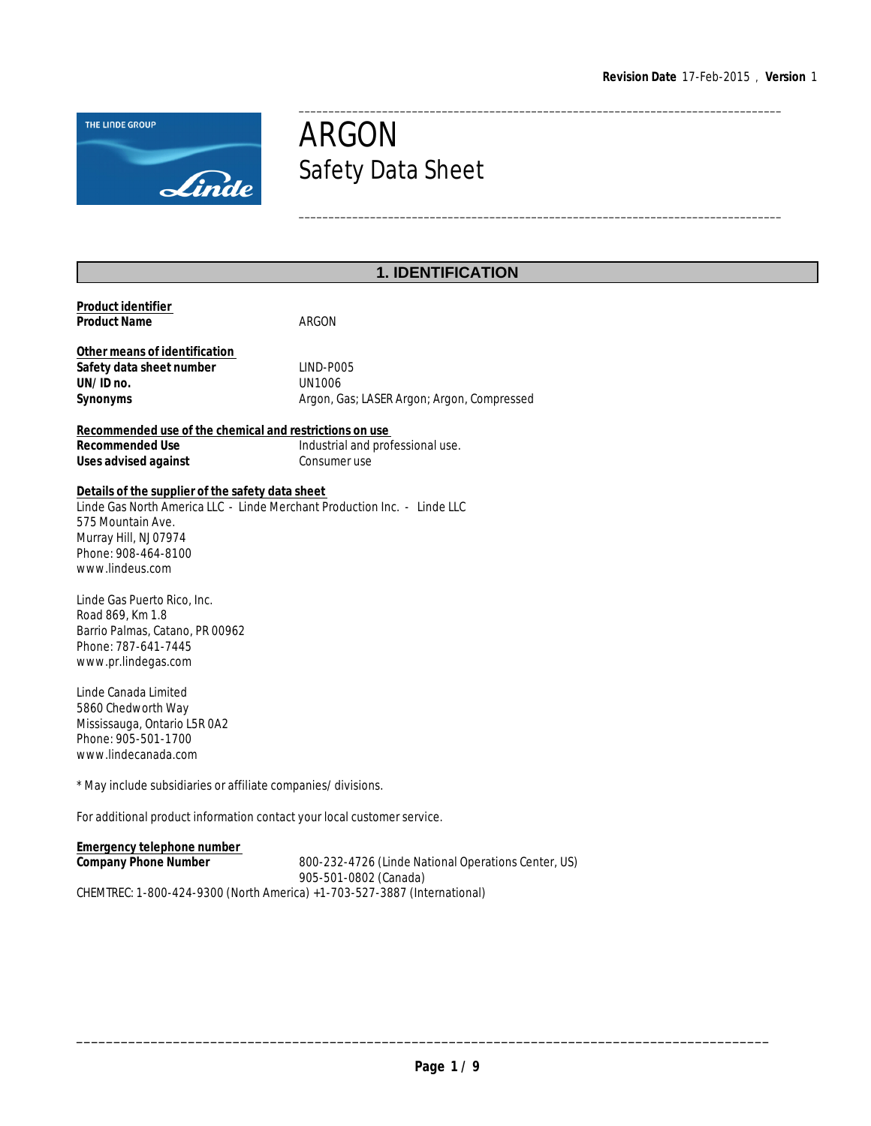\_\_\_\_\_\_\_\_\_\_\_\_\_\_\_\_\_\_\_\_\_\_\_\_\_\_\_\_\_\_\_\_\_\_\_\_\_\_\_\_\_\_\_\_\_\_\_\_\_\_\_\_\_\_\_\_\_\_\_\_\_\_\_\_\_\_\_\_\_\_\_\_\_\_\_\_\_\_\_\_\_

\_\_\_\_\_\_\_\_\_\_\_\_\_\_\_\_\_\_\_\_\_\_\_\_\_\_\_\_\_\_\_\_\_\_\_\_\_\_\_\_\_\_\_\_\_\_\_\_\_\_\_\_\_\_\_\_\_\_\_\_\_\_\_\_\_\_\_\_\_\_\_\_\_\_\_\_\_\_\_\_\_



# ARGON Safety Data Sheet

## **1. IDENTIFICATION**

| Product identifier<br><b>Product Name</b>                                                                                                                                                                            | ARGON                                                                        |
|----------------------------------------------------------------------------------------------------------------------------------------------------------------------------------------------------------------------|------------------------------------------------------------------------------|
| Other means of identification<br>Safety data sheet number<br>UN/ID no.<br>Synonyms                                                                                                                                   | LIND-P005<br><b>UN1006</b><br>Argon, Gas; LASER Argon; Argon, Compressed     |
| Recommended use of the chemical and restrictions on use<br>Recommended Use<br>Uses advised against                                                                                                                   | Industrial and professional use.<br>Consumer use                             |
| Details of the supplier of the safety data sheet<br>Linde Gas North America LLC - Linde Merchant Production Inc. - Linde LLC<br>575 Mountain Ave.<br>Murray Hill, NJ 07974<br>Phone: 908-464-8100<br>www.lindeus.com |                                                                              |
| Linde Gas Puerto Rico, Inc.<br>Road 869, Km 1.8<br>Barrio Palmas, Catano, PR 00962<br>Phone: 787-641-7445<br>www.pr.lindegas.com                                                                                     |                                                                              |
| Linde Canada Limited<br>5860 Chedworth Way<br>Mississauga, Ontario L5R 0A2<br>Phone: 905-501-1700<br>www.lindecanada.com                                                                                             |                                                                              |
| * May include subsidiaries or affiliate companies/divisions.                                                                                                                                                         |                                                                              |
| For additional product information contact your local customer service.                                                                                                                                              |                                                                              |
| Emergency telephone number<br>Company Phone Number                                                                                                                                                                   | 800-232-4726 (Linde National Operations Center, US)<br>905-501-0802 (Canada) |
| CHEMTREC: 1-800-424-9300 (North America) +1-703-527-3887 (International)                                                                                                                                             |                                                                              |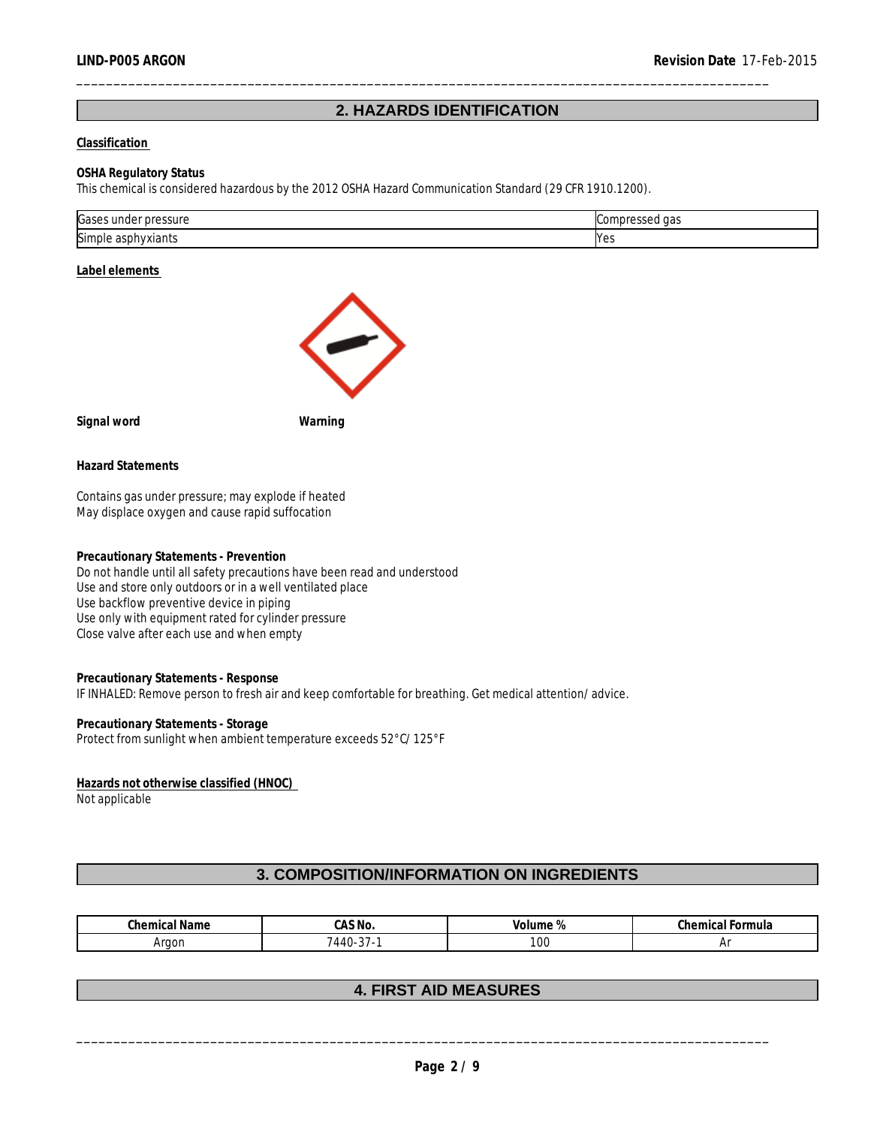## **2. HAZARDS IDENTIFICATION**

\_\_\_\_\_\_\_\_\_\_\_\_\_\_\_\_\_\_\_\_\_\_\_\_\_\_\_\_\_\_\_\_\_\_\_\_\_\_\_\_\_\_\_\_\_\_\_\_\_\_\_\_\_\_\_\_\_\_\_\_\_\_\_\_\_\_\_\_\_\_\_\_\_\_\_\_\_\_\_\_\_\_\_\_\_\_\_\_\_\_\_\_\_

#### **Classification**

#### **OSHA Regulatory Status**

This chemical is considered hazardous by the 2012 OSHA Hazard Communication Standard (29 CFR 1910.1200).

| Gases<br>pressure<br>unde | $\sim$ $\sim$<br>ua. |
|---------------------------|----------------------|
| Simple asph<br>phyxiants  | N۵<<br>د ب           |

#### **Label elements**



**Signal word Warning**

**Hazard Statements**

Contains gas under pressure; may explode if heated May displace oxygen and cause rapid suffocation

**Precautionary Statements - Prevention** Do not handle until all safety precautions have been read and understood Use and store only outdoors or in a well ventilated place Use backflow preventive device in piping Use only with equipment rated for cylinder pressure Close valve after each use and when empty

**Precautionary Statements - Response** IF INHALED: Remove person to fresh air and keep comfortable for breathing. Get medical attention/advice.

**Precautionary Statements - Storage** Protect from sunlight when ambient temperature exceeds 52°C/125°F

**Hazards not otherwise classified (HNOC)**  Not applicable

## **3. COMPOSITION/INFORMATION ON INGREDIENTS**

| <u>ম</u> Name<br>∵nemicar<br>۰۰ ان ۱ | CAS NO.                 | Volume<br>$\prime$ $\sigma$ | $\sim$<br>-ormula<br>unical For.,<br>◡ |
|--------------------------------------|-------------------------|-----------------------------|----------------------------------------|
| Araor                                | $\sim$ $-$<br>44 I<br>ັ | 100                         |                                        |

## **4. FIRST AID MEASURES**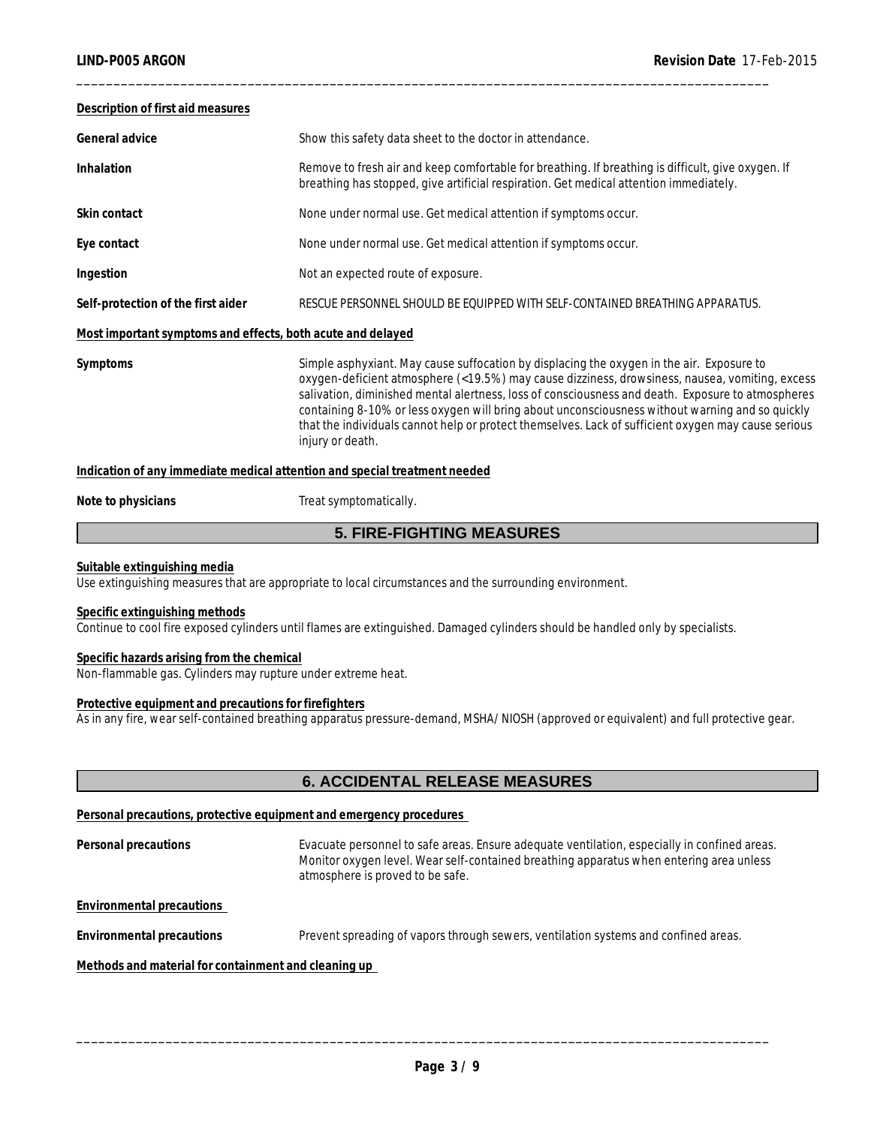## **Description of first aid measures**

General advice **Show this safety data sheet to the doctor in attendance**.

Inhalation **Remove to fresh air and keep comfortable for breathing. If breathing is difficult, give oxygen. If** breathing has stopped, give artificial respiration. Get medical attention immediately.

\_\_\_\_\_\_\_\_\_\_\_\_\_\_\_\_\_\_\_\_\_\_\_\_\_\_\_\_\_\_\_\_\_\_\_\_\_\_\_\_\_\_\_\_\_\_\_\_\_\_\_\_\_\_\_\_\_\_\_\_\_\_\_\_\_\_\_\_\_\_\_\_\_\_\_\_\_\_\_\_\_\_\_\_\_\_\_\_\_\_\_\_\_

- Skin contact **None under normal use.** Get medical attention if symptoms occur.
- **Eye contact** None under normal use. Get medical attention if symptoms occur.
- **Ingestion** Not an expected route of exposure.

**Self-protection of the first aider** RESCUE PERSONNEL SHOULD BE EQUIPPED WITH SELF-CONTAINED BREATHING APPARATUS.

#### **Most important symptoms and effects, both acute and delayed**

**Symptoms** Simple asphyxiant. May cause suffocation by displacing the oxygen in the air. Exposure to oxygen-deficient atmosphere (<19.5%) may cause dizziness, drowsiness, nausea, vomiting, excess salivation, diminished mental alertness, loss of consciousness and death. Exposure to atmospheres containing 8-10% or less oxygen will bring about unconsciousness without warning and so quickly that the individuals cannot help or protect themselves. Lack of sufficient oxygen may cause serious injury or death.

**Indication of any immediate medical attention and special treatment needed**

#### Note to physicians **Note to physicians** Treat symptomatically.

## **5. FIRE-FIGHTING MEASURES**

#### **Suitable extinguishing media**

Use extinguishing measures that are appropriate to local circumstances and the surrounding environment.

#### **Specific extinguishing methods**

Continue to cool fire exposed cylinders until flames are extinguished. Damaged cylinders should be handled only by specialists.

#### **Specific hazards arising from the chemical**

Non-flammable gas. Cylinders may rupture under extreme heat.

#### **Protective equipment and precautions for firefighters**

As in any fire, wear self-contained breathing apparatus pressure-demand, MSHA/NIOSH (approved or equivalent) and full protective gear.

## **6. ACCIDENTAL RELEASE MEASURES**

**Personal precautions, protective equipment and emergency procedures** 

**Personal precautions** Evacuate personnel to safe areas. Ensure adequate ventilation, especially in confined areas. Monitor oxygen level. Wear self-contained breathing apparatus when entering area unless atmosphere is proved to be safe.

**Environmental precautions** 

**Environmental precautions** Prevent spreading of vapors through sewers, ventilation systems and confined areas.

**Methods and material for containment and cleaning up**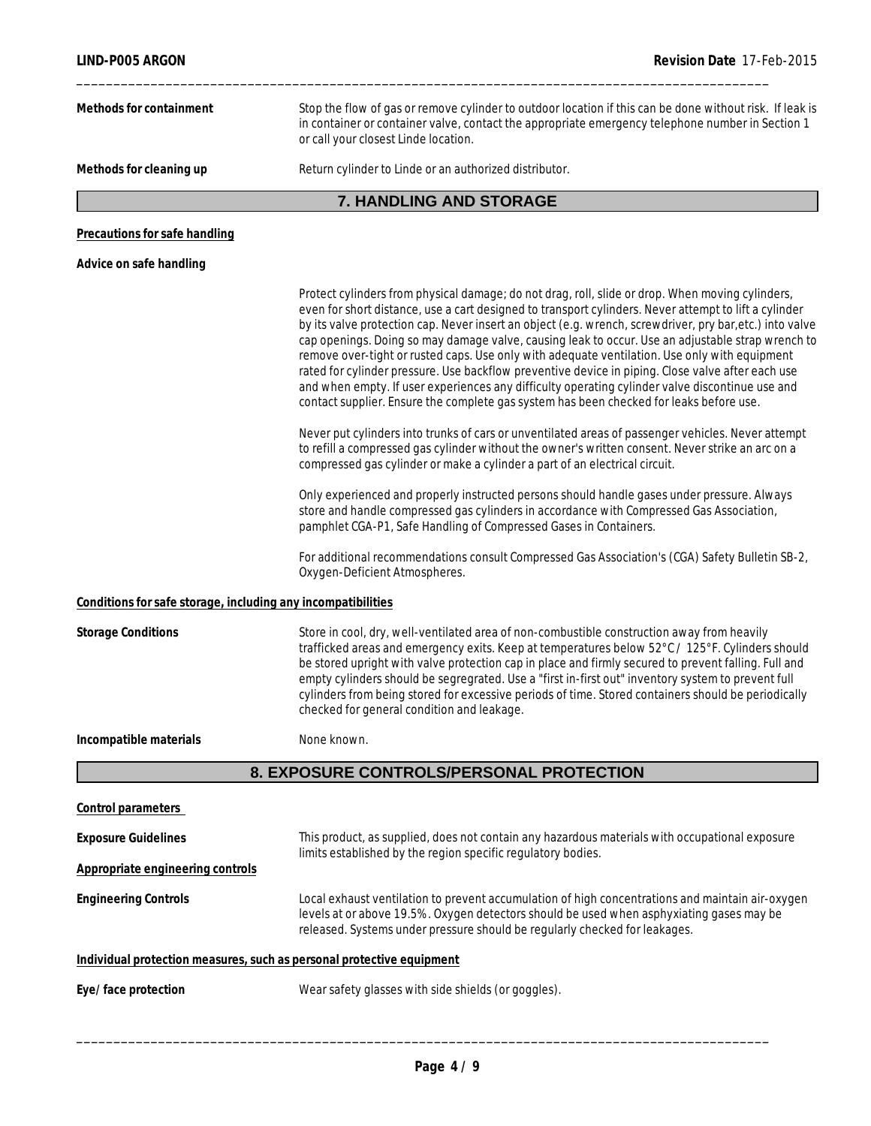| LIND-P005 ARGON<br>Revision Date 17-Feb-2015                 |                                                                                                                                                                                                                                                                                                                                                                                                                                                                                                                                                                                                                                                                                                                                                                                                                                |  |  |  |
|--------------------------------------------------------------|--------------------------------------------------------------------------------------------------------------------------------------------------------------------------------------------------------------------------------------------------------------------------------------------------------------------------------------------------------------------------------------------------------------------------------------------------------------------------------------------------------------------------------------------------------------------------------------------------------------------------------------------------------------------------------------------------------------------------------------------------------------------------------------------------------------------------------|--|--|--|
| Methods for containment                                      | Stop the flow of gas or remove cylinder to outdoor location if this can be done without risk. If leak is<br>in container or container valve, contact the appropriate emergency telephone number in Section 1<br>or call your closest Linde location.                                                                                                                                                                                                                                                                                                                                                                                                                                                                                                                                                                           |  |  |  |
| Methods for cleaning up                                      | Return cylinder to Linde or an authorized distributor.                                                                                                                                                                                                                                                                                                                                                                                                                                                                                                                                                                                                                                                                                                                                                                         |  |  |  |
|                                                              | 7. HANDLING AND STORAGE                                                                                                                                                                                                                                                                                                                                                                                                                                                                                                                                                                                                                                                                                                                                                                                                        |  |  |  |
| Precautions for safe handling                                |                                                                                                                                                                                                                                                                                                                                                                                                                                                                                                                                                                                                                                                                                                                                                                                                                                |  |  |  |
| Advice on safe handling                                      |                                                                                                                                                                                                                                                                                                                                                                                                                                                                                                                                                                                                                                                                                                                                                                                                                                |  |  |  |
|                                                              | Protect cylinders from physical damage; do not drag, roll, slide or drop. When moving cylinders,<br>even for short distance, use a cart designed to transport cylinders. Never attempt to lift a cylinder<br>by its valve protection cap. Never insert an object (e.g. wrench, screwdriver, pry bar, etc.) into valve<br>cap openings. Doing so may damage valve, causing leak to occur. Use an adjustable strap wrench to<br>remove over-tight or rusted caps. Use only with adequate ventilation. Use only with equipment<br>rated for cylinder pressure. Use backflow preventive device in piping. Close valve after each use<br>and when empty. If user experiences any difficulty operating cylinder valve discontinue use and<br>contact supplier. Ensure the complete gas system has been checked for leaks before use. |  |  |  |
|                                                              | Never put cylinders into trunks of cars or unventilated areas of passenger vehicles. Never attempt<br>to refill a compressed gas cylinder without the owner's written consent. Never strike an arc on a<br>compressed gas cylinder or make a cylinder a part of an electrical circuit.                                                                                                                                                                                                                                                                                                                                                                                                                                                                                                                                         |  |  |  |
|                                                              | Only experienced and properly instructed persons should handle gases under pressure. Always<br>store and handle compressed gas cylinders in accordance with Compressed Gas Association,<br>pamphlet CGA-P1, Safe Handling of Compressed Gases in Containers.                                                                                                                                                                                                                                                                                                                                                                                                                                                                                                                                                                   |  |  |  |
|                                                              | For additional recommendations consult Compressed Gas Association's (CGA) Safety Bulletin SB-2,<br>Oxygen-Deficient Atmospheres.                                                                                                                                                                                                                                                                                                                                                                                                                                                                                                                                                                                                                                                                                               |  |  |  |
| Conditions for safe storage, including any incompatibilities |                                                                                                                                                                                                                                                                                                                                                                                                                                                                                                                                                                                                                                                                                                                                                                                                                                |  |  |  |
| <b>Storage Conditions</b>                                    | Store in cool, dry, well-ventilated area of non-combustible construction away from heavily<br>trafficked areas and emergency exits. Keep at temperatures below 52°C / 125°F. Cylinders should<br>be stored upright with valve protection cap in place and firmly secured to prevent falling. Full and<br>empty cylinders should be segregrated. Use a "first in-first out" inventory system to prevent full<br>cylinders from being stored for excessive periods of time. Stored containers should be periodically<br>checked for general condition and leakage.                                                                                                                                                                                                                                                               |  |  |  |
| Incompatible materials                                       | None known.                                                                                                                                                                                                                                                                                                                                                                                                                                                                                                                                                                                                                                                                                                                                                                                                                    |  |  |  |
|                                                              | 8. EXPOSURE CONTROLS/PERSONAL PROTECTION                                                                                                                                                                                                                                                                                                                                                                                                                                                                                                                                                                                                                                                                                                                                                                                       |  |  |  |
| Control parameters                                           |                                                                                                                                                                                                                                                                                                                                                                                                                                                                                                                                                                                                                                                                                                                                                                                                                                |  |  |  |
| <b>Exposure Guidelines</b>                                   | This product, as supplied, does not contain any hazardous materials with occupational exposure<br>limits established by the region specific regulatory bodies.                                                                                                                                                                                                                                                                                                                                                                                                                                                                                                                                                                                                                                                                 |  |  |  |
| Appropriate engineering controls                             |                                                                                                                                                                                                                                                                                                                                                                                                                                                                                                                                                                                                                                                                                                                                                                                                                                |  |  |  |
| <b>Engineering Controls</b>                                  | Local exhaust ventilation to prevent accumulation of high concentrations and maintain air-oxygen<br>levels at or above 19.5%. Oxygen detectors should be used when asphyxiating gases may be<br>released. Systems under pressure should be regularly checked for leakages.                                                                                                                                                                                                                                                                                                                                                                                                                                                                                                                                                     |  |  |  |
|                                                              | Individual protection measures, such as personal protective equipment                                                                                                                                                                                                                                                                                                                                                                                                                                                                                                                                                                                                                                                                                                                                                          |  |  |  |
| Eye/face protection                                          | Wear safety glasses with side shields (or goggles).                                                                                                                                                                                                                                                                                                                                                                                                                                                                                                                                                                                                                                                                                                                                                                            |  |  |  |
|                                                              |                                                                                                                                                                                                                                                                                                                                                                                                                                                                                                                                                                                                                                                                                                                                                                                                                                |  |  |  |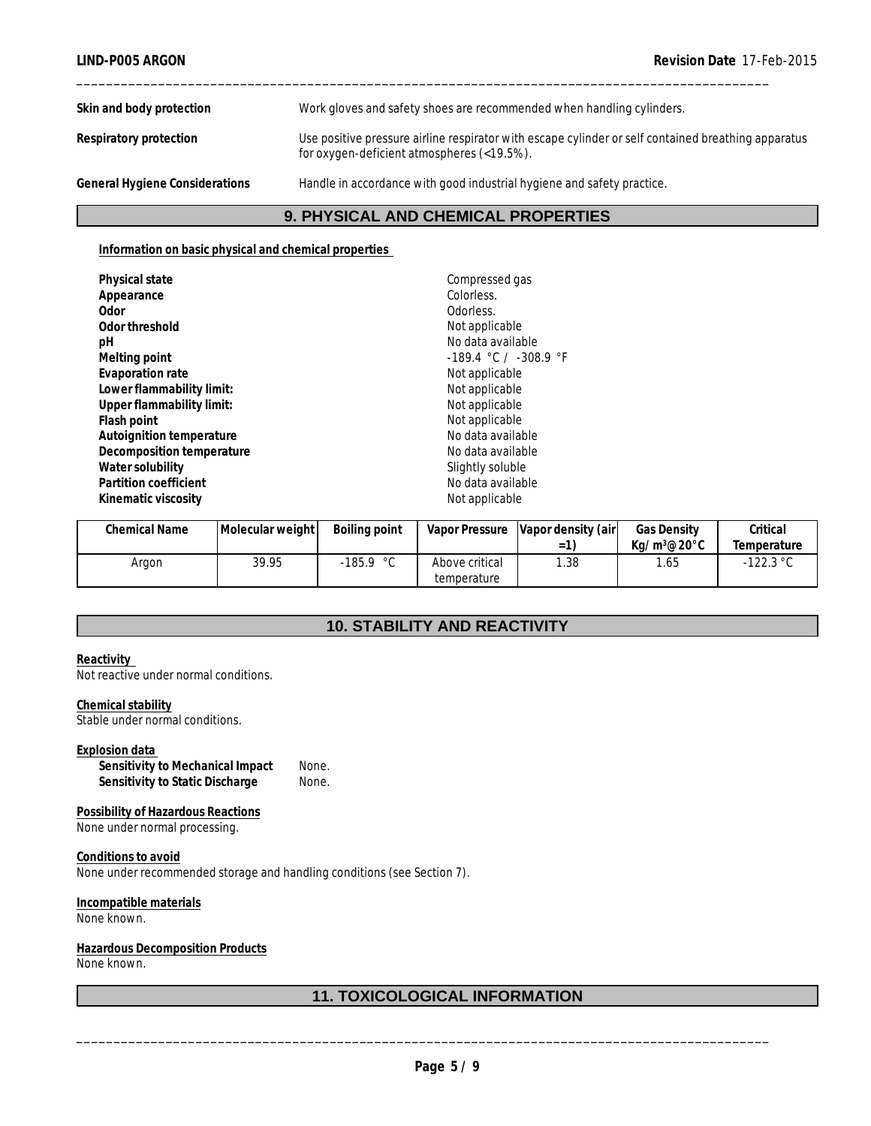**Skin and body protection** Work gloves and safety shoes are recommended when handling cylinders.

**Respiratory protection** Use positive pressure airline respirator with escape cylinder or self contained breathing apparatus

\_\_\_\_\_\_\_\_\_\_\_\_\_\_\_\_\_\_\_\_\_\_\_\_\_\_\_\_\_\_\_\_\_\_\_\_\_\_\_\_\_\_\_\_\_\_\_\_\_\_\_\_\_\_\_\_\_\_\_\_\_\_\_\_\_\_\_\_\_\_\_\_\_\_\_\_\_\_\_\_\_\_\_\_\_\_\_\_\_\_\_\_\_

**General Hygiene Considerations** Handle in accordance with good industrial hygiene and safety practice.

## **9. PHYSICAL AND CHEMICAL PROPERTIES**

for oxygen-deficient atmospheres (<19.5%).

#### **Information on basic physical and chemical properties**

| Physical state            | Compressed gas            |
|---------------------------|---------------------------|
| Appearance                | Colorless.                |
| 0dor                      | Odorless.                 |
| Odor threshold            | Not applicable            |
| рH                        | No data available         |
| Melting point             | $-189.4$ °C / $-308.9$ °F |
| Evaporation rate          | Not applicable            |
| Lower flammability limit: | Not applicable            |
| Upper flammability limit: | Not applicable            |
| Flash point               | Not applicable            |
| Autoignition temperature  | No data available         |
| Decomposition temperature | No data available         |
| Water solubility          | Slightly soluble          |
| Partition coefficient     | No data available         |
| Kinematic viscosity       | Not applicable            |

| <b>Chemical Name</b> | Molecular weight | Boiling point |                               | Vapor Pressure   Vapor density (air<br>$=$ 1 | <b>Gas Density</b><br>$Ka/m^3@20^{\circ}$ C | Critical<br>Temperature |
|----------------------|------------------|---------------|-------------------------------|----------------------------------------------|---------------------------------------------|-------------------------|
| Argon                | 39.95            | -185.9 °C     | Above critical<br>temperature | .38                                          | .65                                         | $-122.3 °C$             |

## **10. STABILITY AND REACTIVITY**

#### **Reactivity**  Not reactive under normal conditions.

#### **Chemical stability**

Stable under normal conditions.

#### **Explosion data**

**Sensitivity to Mechanical Impact** None. Sensitivity to Static Discharge None.

**Possibility of Hazardous Reactions** None under normal processing.

**Conditions to avoid** None under recommended storage and handling conditions (see Section 7).

**Incompatible materials** None known.

#### **Hazardous Decomposition Products** None known.

## **11. TOXICOLOGICAL INFORMATION**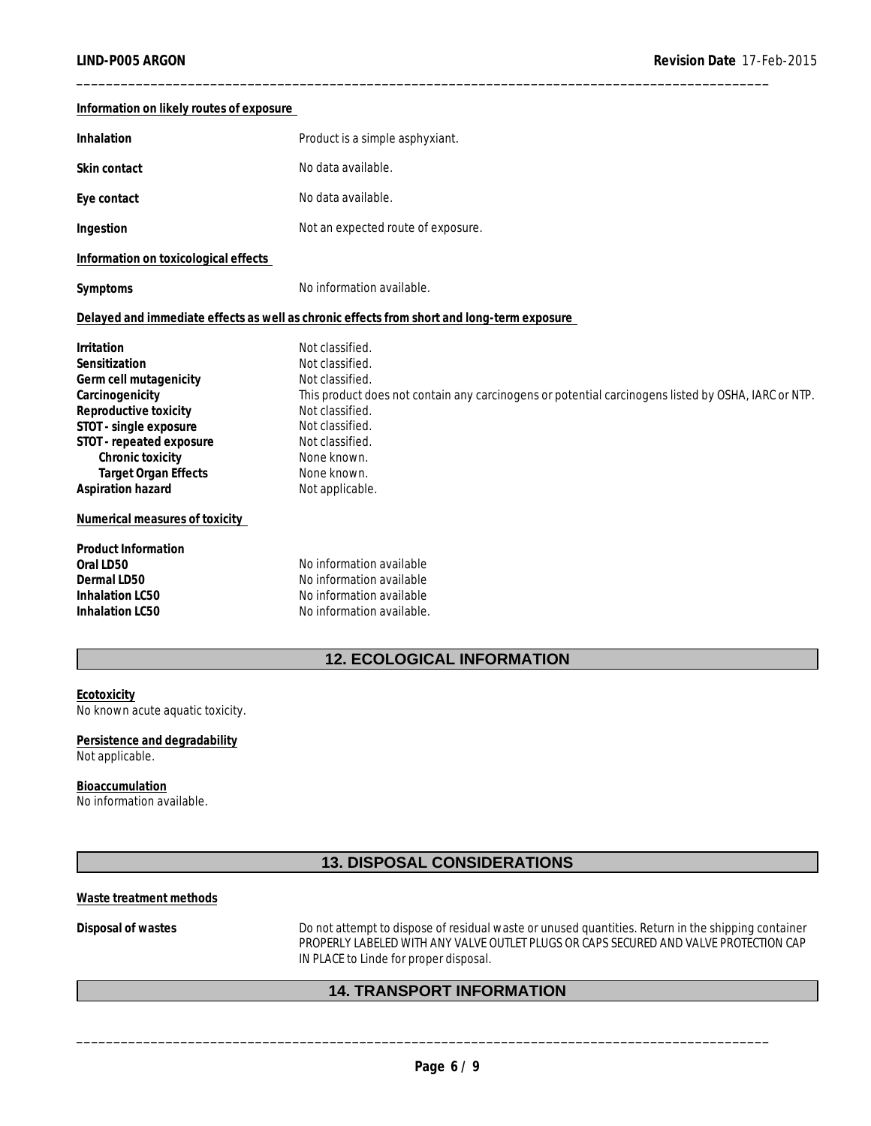| Information on likely routes of exposure |                                                                                                     |
|------------------------------------------|-----------------------------------------------------------------------------------------------------|
| Inhalation                               | Product is a simple asphyxiant.                                                                     |
| Skin contact                             | No data available.                                                                                  |
| Eye contact                              | No data available.                                                                                  |
| Ingestion                                | Not an expected route of exposure.                                                                  |
| Information on toxicological effects     |                                                                                                     |
| Symptoms                                 | No information available.                                                                           |
|                                          | Delayed and immediate effects as well as chronic effects from short and long-term exposure          |
| Irritation                               | Not classified.                                                                                     |
| Sensitization                            | Not classified.                                                                                     |
| Germ cell mutagenicity                   | Not classified.                                                                                     |
| Carcinogenicity                          | This product does not contain any carcinogens or potential carcinogens listed by OSHA, IARC or NTP. |
| Reproductive toxicity                    | Not classified.                                                                                     |
| STOT - single exposure                   | Not classified.                                                                                     |
| STOT - repeated exposure                 | Not classified.                                                                                     |
| Chronic toxicity                         | None known.                                                                                         |
| <b>Target Organ Effects</b>              | None known.                                                                                         |
| Aspiration hazard                        | Not applicable.                                                                                     |
| Numerical measures of toxicity           |                                                                                                     |
| Product Information                      |                                                                                                     |
| Oral LD50                                | No information available                                                                            |
| Dermal LD50                              | No information available                                                                            |
| Inhalation LC50                          | No information available                                                                            |
| Inhalation LC50                          | No information available.                                                                           |
|                                          |                                                                                                     |

\_\_\_\_\_\_\_\_\_\_\_\_\_\_\_\_\_\_\_\_\_\_\_\_\_\_\_\_\_\_\_\_\_\_\_\_\_\_\_\_\_\_\_\_\_\_\_\_\_\_\_\_\_\_\_\_\_\_\_\_\_\_\_\_\_\_\_\_\_\_\_\_\_\_\_\_\_\_\_\_\_\_\_\_\_\_\_\_\_\_\_\_\_

## **12. ECOLOGICAL INFORMATION**

#### **Ecotoxicity** No known acute aquatic toxicity.

**Persistence and degradability** Not applicable.

**Bioaccumulation** No information available.

## **13. DISPOSAL CONSIDERATIONS**

#### **Waste treatment methods**

**Disposal of wastes** Do not attempt to dispose of residual waste or unused quantities. Return in the shipping container PROPERLY LABELED WITH ANY VALVE OUTLET PLUGS OR CAPS SECURED AND VALVE PROTECTION CAP IN PLACE to Linde for proper disposal.

## **14. TRANSPORT INFORMATION**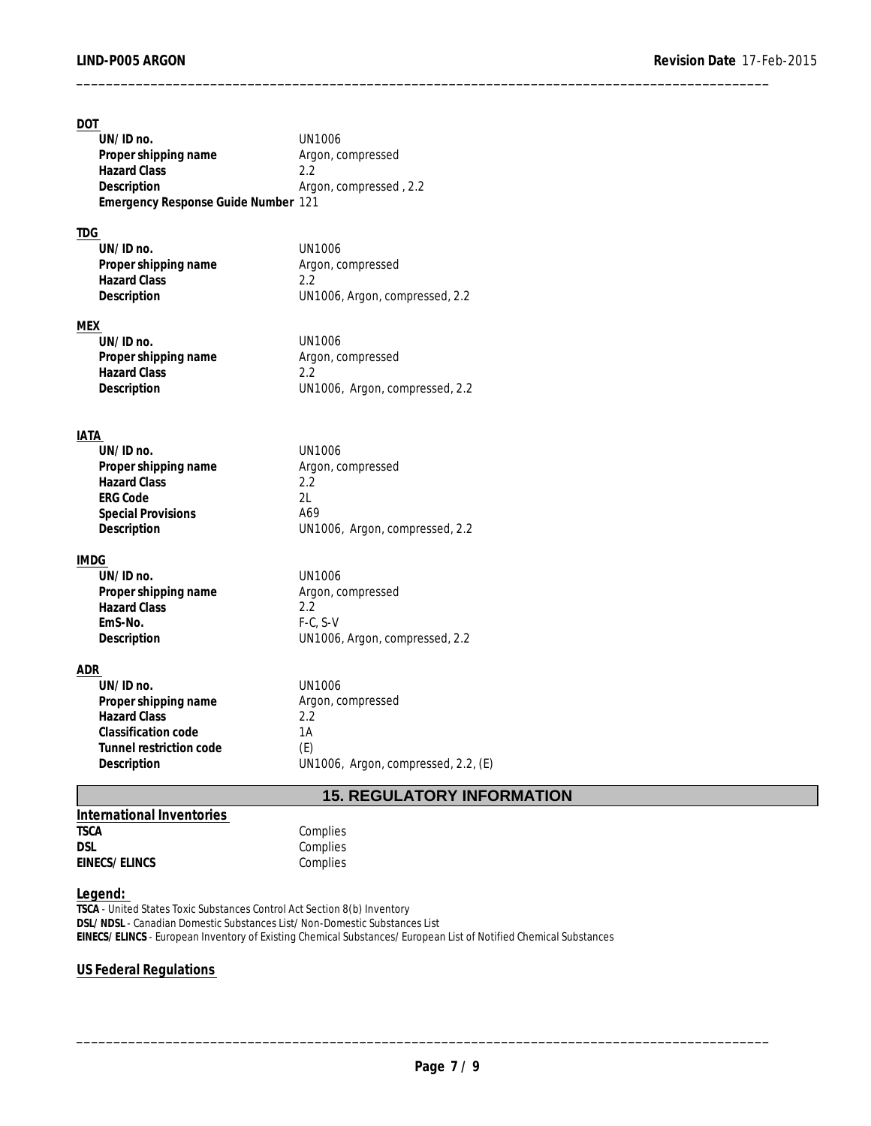| <b>DOT</b><br>UN/ID no.<br>Proper shipping name<br><b>Hazard Class</b><br>Description<br>Emergency Response Guide Number 121<br><b>TDG</b> | <b>UN1006</b><br>Argon, compressed<br>2.2<br>Argon, compressed, 2.2 |
|--------------------------------------------------------------------------------------------------------------------------------------------|---------------------------------------------------------------------|
| UN/ID no.                                                                                                                                  | <b>UN1006</b>                                                       |
| Proper shipping name                                                                                                                       | Argon, compressed                                                   |
| <b>Hazard Class</b><br>Description                                                                                                         | 2.2<br>UN1006, Argon, compressed, 2.2                               |
|                                                                                                                                            |                                                                     |
| <b>MEX</b>                                                                                                                                 |                                                                     |
| UN/ID no.                                                                                                                                  | <b>UN1006</b>                                                       |
| Proper shipping name<br><b>Hazard Class</b>                                                                                                | Argon, compressed<br>2.2                                            |
| Description                                                                                                                                | UN1006, Argon, compressed, 2.2                                      |
|                                                                                                                                            |                                                                     |
| IATA                                                                                                                                       |                                                                     |
| UN/ID no.                                                                                                                                  | <b>UN1006</b>                                                       |
| Proper shipping name                                                                                                                       | Argon, compressed                                                   |
| <b>Hazard Class</b>                                                                                                                        | 2.2                                                                 |
| <b>ERG Code</b>                                                                                                                            | 2L                                                                  |
| <b>Special Provisions</b>                                                                                                                  | A69                                                                 |
| Description                                                                                                                                | UN1006, Argon, compressed, 2.2                                      |
| <b>IMDG</b>                                                                                                                                |                                                                     |
| UN/ID no.                                                                                                                                  | <b>UN1006</b>                                                       |
| Proper shipping name<br><b>Hazard Class</b>                                                                                                | Argon, compressed<br>2.2                                            |
| EmS-No.                                                                                                                                    | $F-C, S-V$                                                          |
| Description                                                                                                                                | UN1006, Argon, compressed, 2.2                                      |
|                                                                                                                                            |                                                                     |
| ADR                                                                                                                                        |                                                                     |
| UN/ID no.<br>Proper shipping name                                                                                                          | <b>UN1006</b><br>Argon, compressed                                  |
| <b>Hazard Class</b>                                                                                                                        | 2.2                                                                 |
| Classification code                                                                                                                        | 1A                                                                  |
| Tunnel restriction code                                                                                                                    | (E)                                                                 |
| Description                                                                                                                                | UN1006, Argon, compressed, 2.2, (E)                                 |
|                                                                                                                                            | <b>15. REGULATORY INFORMATION</b>                                   |

\_\_\_\_\_\_\_\_\_\_\_\_\_\_\_\_\_\_\_\_\_\_\_\_\_\_\_\_\_\_\_\_\_\_\_\_\_\_\_\_\_\_\_\_\_\_\_\_\_\_\_\_\_\_\_\_\_\_\_\_\_\_\_\_\_\_\_\_\_\_\_\_\_\_\_\_\_\_\_\_\_\_\_\_\_\_\_\_\_\_\_\_\_

**International Inventories**  TSCA Complies<br>DSL Complies **EINECS/ELINCS** 

Complies<br>
Complies

#### **Legend:**

**TSCA** - United States Toxic Substances Control Act Section 8(b) Inventory **DSL/NDSL** - Canadian Domestic Substances List/Non-Domestic Substances List **EINECS/ELINCS** - European Inventory of Existing Chemical Substances/European List of Notified Chemical Substances

## **US Federal Regulations**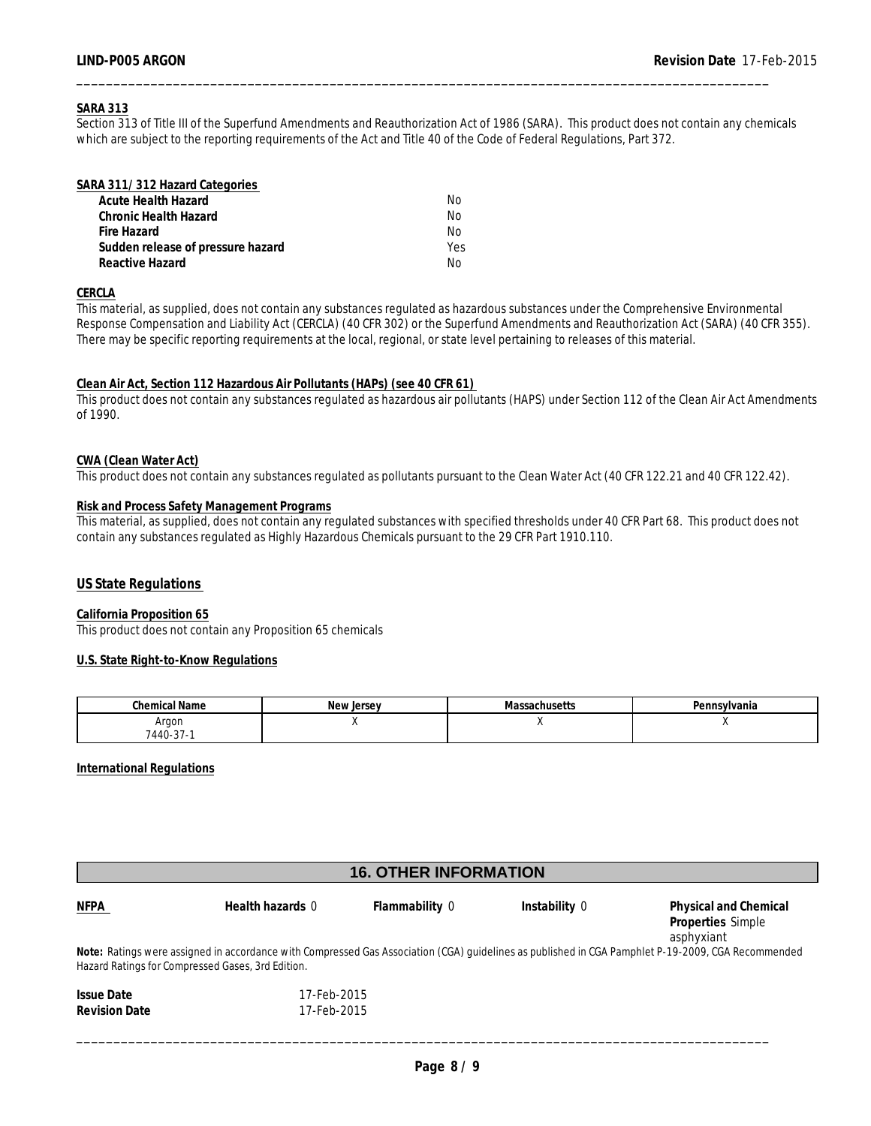#### **SARA 313**

Section 313 of Title III of the Superfund Amendments and Reauthorization Act of 1986 (SARA). This product does not contain any chemicals which are subject to the reporting requirements of the Act and Title 40 of the Code of Federal Regulations, Part 372.

\_\_\_\_\_\_\_\_\_\_\_\_\_\_\_\_\_\_\_\_\_\_\_\_\_\_\_\_\_\_\_\_\_\_\_\_\_\_\_\_\_\_\_\_\_\_\_\_\_\_\_\_\_\_\_\_\_\_\_\_\_\_\_\_\_\_\_\_\_\_\_\_\_\_\_\_\_\_\_\_\_\_\_\_\_\_\_\_\_\_\_\_\_

| SARA 311/312 Hazard Categories    |     |  |
|-----------------------------------|-----|--|
| Acute Health Hazard               | No. |  |
| Chronic Health Hazard             | No. |  |
| Fire Hazard                       | No. |  |
| Sudden release of pressure hazard | Yes |  |
| Reactive Hazard                   | N٥  |  |

#### **CERCLA**

This material, as supplied, does not contain any substances regulated as hazardous substances under the Comprehensive Environmental Response Compensation and Liability Act (CERCLA) (40 CFR 302) or the Superfund Amendments and Reauthorization Act (SARA) (40 CFR 355). There may be specific reporting requirements at the local, regional, or state level pertaining to releases of this material.

#### **Clean Air Act, Section 112 Hazardous Air Pollutants (HAPs) (see 40 CFR 61)**

This product does not contain any substances regulated as hazardous air pollutants (HAPS) under Section 112 of the Clean Air Act Amendments of 1990.

#### **CWA (Clean Water Act)**

This product does not contain any substances regulated as pollutants pursuant to the Clean Water Act (40 CFR 122.21 and 40 CFR 122.42).

#### **Risk and Process Safety Management Programs**

This material, as supplied, does not contain any regulated substances with specified thresholds under 40 CFR Part 68. This product does not contain any substances regulated as Highly Hazardous Chemicals pursuant to the 29 CFR Part 1910.110.

#### **US State Regulations**

**California Proposition 65** This product does not contain any Proposition 65 chemicals

#### **U.S. State Right-to-Know Regulations**

| Chemical Name        | . .<br>lersey<br>۱۵۱۸ | ivid: | Pennsvivania |
|----------------------|-----------------------|-------|--------------|
| Argon                |                       |       |              |
| $\sim$<br>$7440-37-$ |                       |       |              |

**International Regulations**

| <b>16. OTHER INFORMATION</b> |                                                   |                |               |                                                                                                                                                    |  |
|------------------------------|---------------------------------------------------|----------------|---------------|----------------------------------------------------------------------------------------------------------------------------------------------------|--|
| <b>NFPA</b>                  | Health hazards 0                                  | Flammability 0 | Instability 0 | Physical and Chemical<br>Properties Simple<br>asphyxiant                                                                                           |  |
|                              | Hazard Ratings for Compressed Gases, 3rd Edition. |                |               | Note: Ratings were assigned in accordance with Compressed Gas Association (CGA) quidelines as published in CGA Pamphlet P-19-2009, CGA Recommended |  |
| <b>Issue Date</b>            | 17-Feb-2015                                       |                |               |                                                                                                                                                    |  |
| <b>Revision Date</b>         | 17-Feb-2015                                       |                |               |                                                                                                                                                    |  |